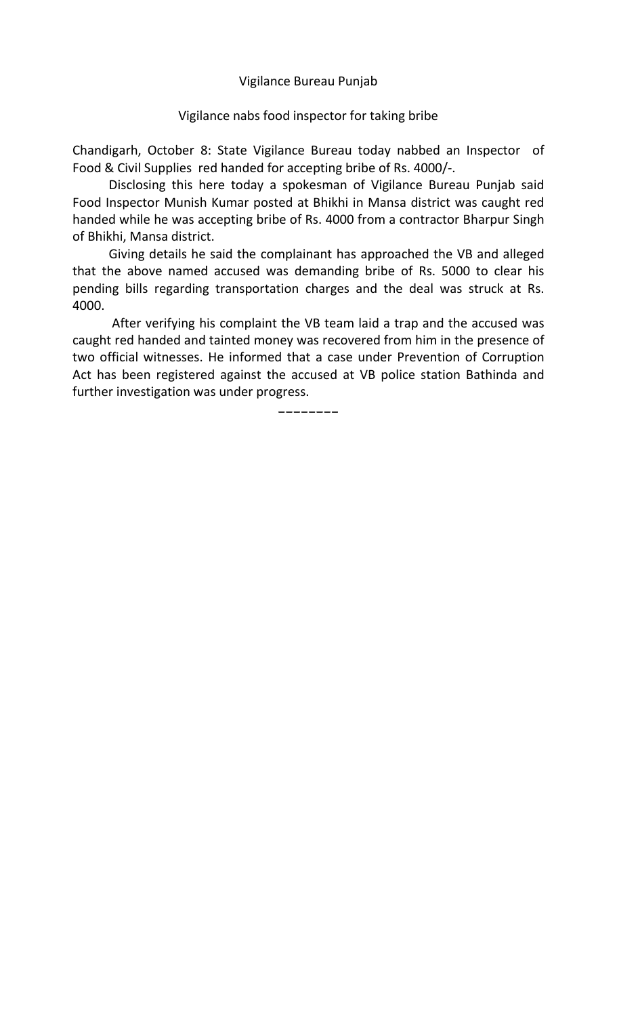Vigilance Bureau Punjab

## Vigilance nabs food inspector for taking bribe

Chandigarh, October 8: State Vigilance Bureau today nabbed an Inspector of Food & Civil Supplies red handed for accepting bribe of Rs. 4000/-.

 Disclosing this here today a spokesman of Vigilance Bureau Punjab said Food Inspector Munish Kumar posted at Bhikhi in Mansa district was caught red handed while he was accepting bribe of Rs. 4000 from a contractor Bharpur Singh of Bhikhi, Mansa district.

 Giving details he said the complainant has approached the VB and alleged that the above named accused was demanding bribe of Rs. 5000 to clear his pending bills regarding transportation charges and the deal was struck at Rs. 4000.

 After verifying his complaint the VB team laid a trap and the accused was caught red handed and tainted money was recovered from him in the presence of two official witnesses. He informed that a case under Prevention of Corruption Act has been registered against the accused at VB police station Bathinda and further investigation was under progress.

-------- --------